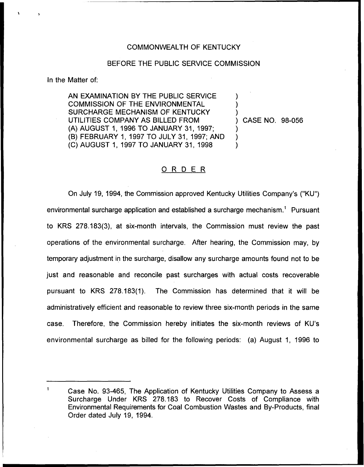### COMMONWEALTH OF KENTUCKY

## BEFORE THE PUBLIC SERVICE COMMISSION

In the Matter of:

AN EXAMINATION BY THE PUBLIC SERVICE COMMISSION OF THE ENVIRONMENTAL SURCHARGE MECHANISM OF KENTUCKY UTILITIES COMPANY AS BILLED FROM (A) AUGUST 1, 1996 TO JANUARY 31, 1997; (B) FEBRUARY 1, 1997 TO JULY 31, 1997; AND (C) AUGUST 1, 1997 TO JANUARY 31, 1998

) CASE NO. 98-056

) ) )

) ) )

## 0 <sup>R</sup> <sup>D</sup> <sup>E</sup> <sup>R</sup>

On July 19, 1994, the Commission approved Kentucky Utilities Company's ("KU") environmental surcharge application and established a surcharge mechanism.<sup>1</sup> Pursuant to KRS 278.183(3), at six-month intervals, the Commission must review the past operations of the environmental surcharge. After hearing, the Commission may, by temporary adjustment in the surcharge, disallow any surcharge amounts found not to be just and reasonable and reconcile past surcharges with actual costs recoverable pursuant to KRS 278.183(1). The Commission has determined that it will be administratively efficient and reasonable to review three six-month periods in the same case. Therefore, the Commission hereby initiates the six-month reviews of KU's environmental surcharge as billed for the following periods: (a) August 1, 1996 to

 $\blacktriangleleft$ 

Case No. 93-465, The Application of Kentucky Utilities Company to Assess a Surcharge Under KRS 278.183 to Recover Costs of Compliance with Environmental Requirements for Coal Combustion Wastes and By-Products, final Order dated July 19, 1994.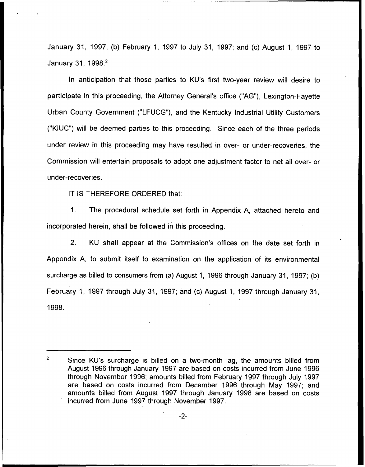January 31, 1997; (b) February 1, 1997 to July 31, 1997; and (c) August 1, 1997 to January 31, 1998.<sup>2</sup>

anticipation that those parties to KU's first two-year review will desire to participate in this proceeding, the Attorney General's office ("AG"), Lexington-Fayette Urban County Government ("LFUCG"), and the Kentucky Industrial Utility Customers ("KIUC") will be deemed parties to this proceeding. Since each of the three periods under review in this proceeding may have resulted in over- or under-recoveries, the Commission will entertain proposals to adopt one adjustment factor to net all over- or under-recoveries.

IT IS THEREFORE ORDERED that:

1. The procedural schedule set forth in Appendix A, attached hereto and incorporated herein, shall be followed in this proceeding.

2. KU shall appear at the Commission's offices on the date set forth in Appendix A, to submit itself to examination on the application of its environmental surcharge as billed to consumers from (a) August 1, 1996 through January 31, 1997; (b) February 1, 1997 through July 31, 1997; and (c) August 1, 1997 through January 31, 1998.

 $\overline{2}$ Since KU's surcharge is billed on a two-month lag, the amounts billed from August 1996 through January 1997 are based on costs incurred from June 1996 through November 1996; amounts billed from February 1997 through July 1997 are based on costs incurred from December 1996 through May 1997; and amounts billed from August 1997 through January 1998 are based on costs incurred from June 1997 through November 1997.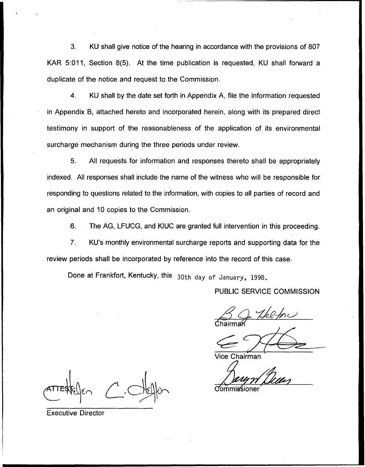3. KU shall give notice of the hearing in accordance with the provisions of 807 KAR 5:011, Section 8(5). At the time publication is requested, KU shall forward a duplicate of the notice and request to the Commission.

4. KU shall by the date set forth in Appendix A, file the information requested in Appendix B, attached hereto and incorporated herein, along with its prepared direct testimony in support of the reasonableness of the application of its environmental surcharge mechanism during the three periods under review.

5. All requests for information and responses thereto shall be appropriately indexed, All responses shall include the name of the witness who will be responsible for responding to questions related to the information, with copies to all parties of record and an original and 10 copies to the Commission.

6, The AG, LFUCG, and KIUC are granted full intervention in this proceeding.

7. KU's monthly environmental surcharge reports and supporting data for the review periods shall be incorporated by reference into the record of this case.

Done at Frankfort, Kentucky, this 30th day of January, 1998.

## PUBLIC SERVICE COMMISSION

 $160$  for Chairma<sub>í</sub>

Vice Chairman

Commissioner

Executive Director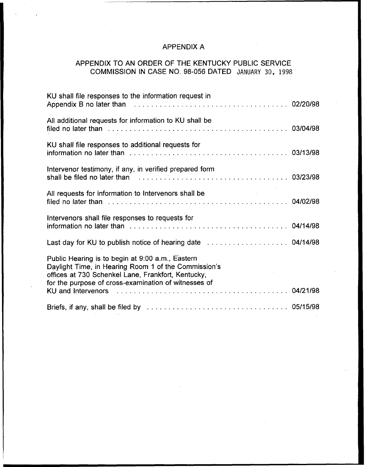# APPENDIX A

# APPENDIX TO AN ORDER OF THE KENTUCKY PUBLIC SERVICE COMMISSION IN CASE NO. 98-056 DATED JANUARY 30, 1998

| KU shall file responses to the information request in                                                                                                                                                                  |  |
|------------------------------------------------------------------------------------------------------------------------------------------------------------------------------------------------------------------------|--|
| All additional requests for information to KU shall be                                                                                                                                                                 |  |
| KU shall file responses to additional requests for                                                                                                                                                                     |  |
| Intervenor testimony, if any, in verified prepared form<br>shall be filed no later than with the contract the contract of the contract of the shall be filed no later than                                             |  |
| All requests for information to Intervenors shall be                                                                                                                                                                   |  |
| Intervenors shall file responses to requests for                                                                                                                                                                       |  |
|                                                                                                                                                                                                                        |  |
| Public Hearing is to begin at 9:00 a.m., Eastern<br>Daylight Time, in Hearing Room 1 of the Commission's<br>offices at 730 Schenkel Lane, Frankfort, Kentucky,<br>for the purpose of cross-examination of witnesses of |  |
| KU and Intervenors (and all contracts of the contracts of the contracts of the contracts of the contracts of t                                                                                                         |  |
|                                                                                                                                                                                                                        |  |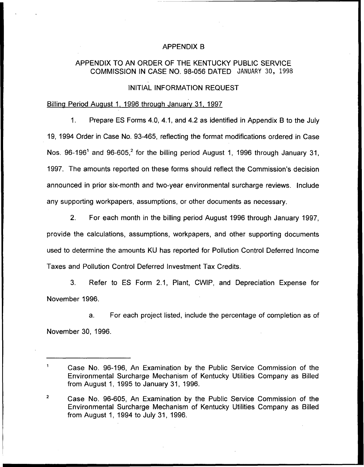#### APPENDIX B

# APPENDIX TO AN ORDER OF THE KENTUCKY PUBLIC SERVICE COMMISSION IN CASE NO. 98-056 DATED JANUARY 30, 1998

#### INITIAL INFORMATION REQUEST

# Billing Period August 1, 1996 through January 31, 1997

1. Prepare ES Forms 4.0, 4.1, and 4.2 as identified in Appendix B to the July 19, 1994 Order in Case No. 93-465, reflecting the format modifications ordered in Case Nos. 96-196<sup>1</sup> and 96-605,<sup>2</sup> for the billing period August 1, 1996 through January 31, 1997. The amounts reported on these forms should reflect the Commission's decision announced in prior six-month and two-year environmental surcharge reviews. Include any supporting workpapers, assumptions, or other documents as necessary.

2. For each month in the billing period August 1996 through January 1997, provide the calculations, assumptions, workpapers, and other supporting documents used to determine the amounts KU has reported for Pollution Control Deferred Income Taxes and Pollution Control Deferred Investment Tax Credits.

3. Refer to ES Form 2.1, Plant, CWIP, and Depreciation Expense for November 1996.

a. For each project listed, include the percentage of completion as of November 30, 1996.

 $\mathbf{1}$ Case No. 96-196, An Examination by the Public Service Commission of the Environmental Surcharge Mechanism of Kentucky Utilities Company as Billed from August 1, 1995 to January 31, 1996.

 $\overline{2}$ Case No. 96-605, An Examination by the Public Service Commission of the Environmental Surcharge Mechanism of Kentucky Utilities Company as Billed from August 1, 1994 to July 31, 1996.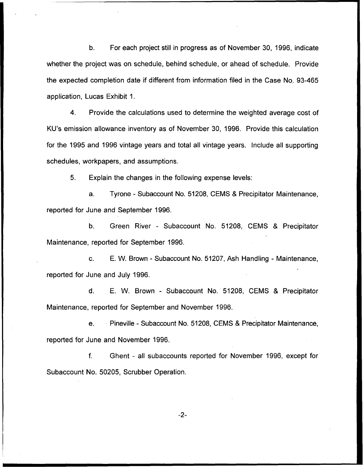b. For each project still in progress as of November 30, 1996, indicate whether the project was on schedule, behind schedule, or ahead of schedule. Provide the expected completion date if different from information filed in the Case No. 93-465 application, Lucas Exhibit 1.

4. Provide the calculations used to determine the weighted average cost of KU's emission allowance inventory as of November 30, 1996. Provide this calculation for the 1995 and 1996 vintage years and total all vintage years. Include all supporting schedules, workpapers, and assumptions.

5. Explain the changes in the following expense levels:

a. Tyrone - Subaccount No. 51208, GEMS 8 Precipitator Maintenance, reported for June and September 1996.

b. Green River - Subaccount No. 51208, GEMS 8 Precipitator Maintenance, reported for September 1996.

c. E. W. Brown - Subaccount No. 51207, Ash Handling - Maintenance, reported for June and July 1996.

d. E. W. Brown - Subaccount No. 51208, GEMS 8 Precipitator Maintenance, reported for September and November 1996.

e. Pineville - Subaccount No. 51208, GEMS & Precipitator Maintenance, reported for June and November 1996.

f. Ghent - all subaccounts reported for November 1996, except for Subaccount No. 50205, Scrubber Operation.

 $-2-$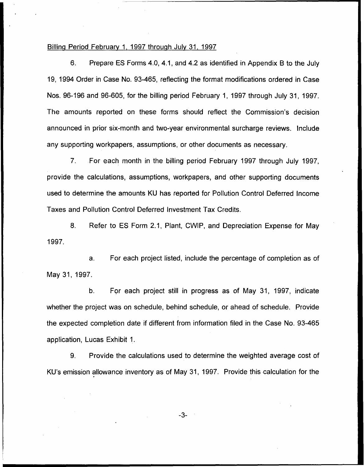#### Billing Period February 1, 1997 through July 31, 1997

6. Prepare ES Forms 4.0, 4.1, and 4.2 as identified in Appendix B to the July 19, 1994 Order in Case No. 93-465, reflecting the format modifications ordered in Case Nos. 96-196 and 96-605, for the billing period February 1, 1997 through July 31, 1997. The amounts reported on these forms should reflect the Commission's decision announced in prior six-month and two-year environmental surcharge reviews. Include any supporting workpapers, assumptions, or other documents as necessary.

7. For each month in the billing period February 1997 through July 1997, provide the calculations, assumptions, workpapers, and other supporting documents used to determine the amounts KU has reported for Pollution Control Deferred Income Taxes and Pollution Control Deferred Investment Tax Credits.

8. Refer to ES Form 2.1, Plant, CWIP, and Depreciation Expense for May 1997.

a. For each project listed, include the percentage of completion as of May 31, 1997.

b. For each project still in progress as of May 31, 1997, indicate whether the project was on schedule, behind schedule, or ahead of schedule. Provide the expected completion date if different from information filed in the Case No. 93-465 application, Lucas Exhibit 1.

9. Provide the calculations used to determine the weighted average cost of KU's emission allowance inventory as of May 31, 1997. Provide this calculation for the

 $-3-$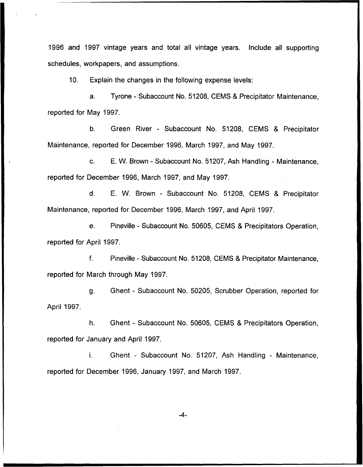1996 and 1997 vintage years and total all vintage years. Include all supporting schedules, workpapers, and assumptions.

10. Explain the changes in the following expense levels:

a. Tyrone - Subaccount No. 51208, GEMS 8 Precipitator Maintenance, reported for May 1997.

b. Green River - Subaccount No. 51208, GEMS 8 Precipitator Maintenance, reported for December 1996, March 1997, and May 1997.

c. E. W. Brown - Subaccount No. 51207, Ash Handling - Maintenance, reported for December 1996, March 1997, and May 1997.

d. E. W. Brown - Subaccount No. 51208, GEMS 8 Precipitator Maintenance, reported for December 1996, March 1997, and April 1997.

e. Pineville - Subaccount No. 50605, GEMS 8 Precipitators Operation, reported for April 1997.

f. Pineville - Subaccount No. 51208, GEMS 8 Precipitator Maintenance, reported for March through May 1997.

g. Ghent - Subaccount No. 50205, Scrubber Operation, reported for April 1997.

h. Ghent - Subaccount No. 50605, GEMS 8 Precipitators Operation, reported for January and April 1997.

i. Ghent - Subaccount No. 51207, Ash Handling - Maintenance, reported for December 1996, January 1997, and March 1997.

 $-4-$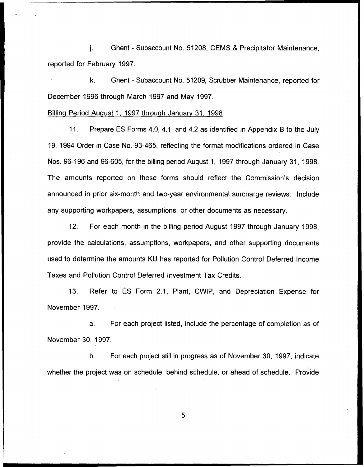j. Ghent - Subaccount No. 51208, CEMS & Precipitator Maintenance, reported for February 1997.

k. Ghent - Subaccount No. 51209, Scrubber Maintenance, reported for December 1996 through March 1997 and May 1997.

#### Billing Period August 1, 1997 through January 31, 1998

11. Prepare ES Forms 4.0, 4.1, and 4.2 as identified in Appendix B to the July 19, 1994 Order in Case No. 93-465, reflecting the format modifications ordered in Case Nos. 96-196 and 96-605, for the billing period August 1, 1997 through January 31, 1998. The amounts reported on these forms should reflect the Commission's decision announced in prior six-month and two-year environmental surcharge reviews. Include any supporting workpapers, assumptions, or other documents as necessary.

12. For each month in the billing period August 1997 through January 1998, provide the calculations, assumptions, workpapers, and other supporting documents used to determine the amounts KU has reported for Pollution Control Deferred Income Taxes and Pollution Control Deferred Investment Tax Credits.

13. Refer to ES Form 2.1, Plant, CWIP, and Depreciation Expense for November 1997.

a. For each project listed, include the percentage of completion as of November 30, 1997.

b. For each project still in progress as of November 30, 1997, indicate whether the project was on schedule, behind schedule, or ahead of schedule. Provide

 $-5-$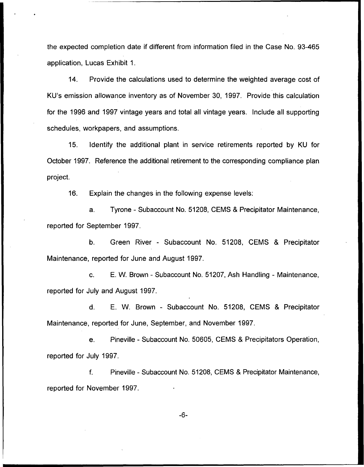the expected completion date if different from information filed in the Case No. 93-465 application, Lucas Exhibit 1.

14. Provide the calculations used to determine the weighted average cost of KU's emission allowance inventory as of November 30, 1997. Provide this calculation for the 1996 and 1997 vintage years and total all vintage years. Include all supporting schedules, workpapers, and assumptions.

15. Identify the additional plant in service retirements reported by KU for October 1997. Reference the additional retirement to the corresponding compliance plan project.

16. Explain the changes in the following expense levels:

a. Tyrone - Subaccount No. 51208, CEMS & Precipitator Maintenance, reported for September 1997.

b. Green River - Subaccount No. 51208, CEMS 8 Precipitator Maintenance, reported for June and August 1997.

c. E. W. Brown - Subaccount No. 51207, Ash Handling - Maintenance, reported for July and August 1997.

d. E. W. Brown - Subaccount No. 51208, CEMS 8 Precipitator Maintenance, reported for June, September, and November 1997.

e. Pineville - Subaccount No. 50605, GEMS 8 Precipitators Operation, reported for July 1997.

f. Pineville - Subaccount No. 51208, GEMS 8 Precipitator Maintenance, reported for November 1997.

 $-6-$